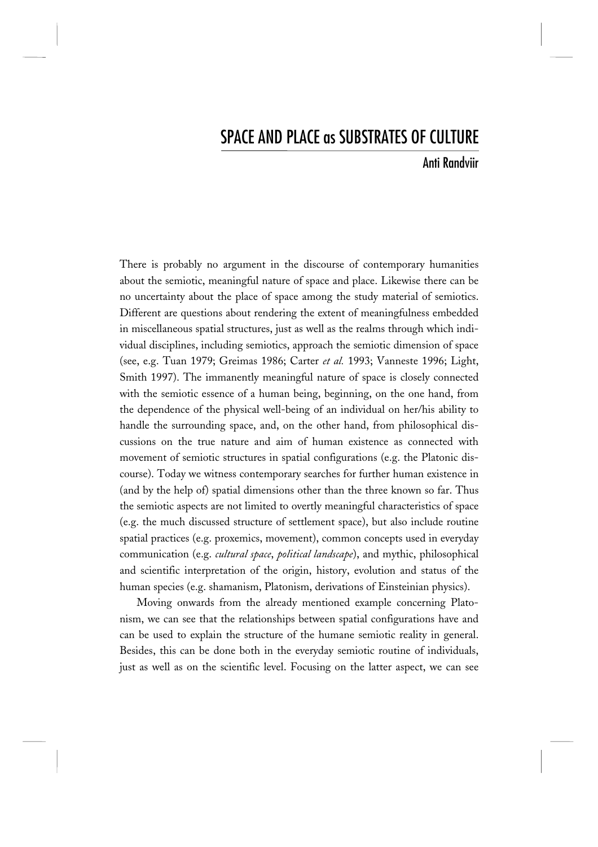# SPACE AND PLACE as SUBSTRATES OF CULTURE

# Anti Randviir

There is probably no argument in the discourse of contemporary humanities about the semiotic, meaningful nature of space and place. Likewise there can be no uncertainty about the place of space among the study material of semiotics. Different are questions about rendering the extent of meaningfulness embedded in miscellaneous spatial structures, just as well as the realms through which individual disciplines, including semiotics, approach the semiotic dimension of space (see, e.g. Tuan 1979; Greimas 1986; Carter *et al.* 1993; Vanneste 1996; Light, Smith 1997). The immanently meaningful nature of space is closely connected with the semiotic essence of a human being, beginning, on the one hand, from the dependence of the physical well-being of an individual on her/his ability to handle the surrounding space, and, on the other hand, from philosophical discussions on the true nature and aim of human existence as connected with movement of semiotic structures in spatial configurations (e.g. the Platonic discourse). Today we witness contemporary searches for further human existence in (and by the help of) spatial dimensions other than the three known so far. Thus the semiotic aspects are not limited to overtly meaningful characteristics of space (e.g. the much discussed structure of settlement space), but also include routine spatial practices (e.g. proxemics, movement), common concepts used in everyday communication (e.g. *cultural space*, *political landscape*), and mythic, philosophical and scientific interpretation of the origin, history, evolution and status of the human species (e.g. shamanism, Platonism, derivations of Einsteinian physics).

Moving onwards from the already mentioned example concerning Platonism, we can see that the relationships between spatial configurations have and can be used to explain the structure of the humane semiotic reality in general. Besides, this can be done both in the everyday semiotic routine of individuals, just as well as on the scientific level. Focusing on the latter aspect, we can see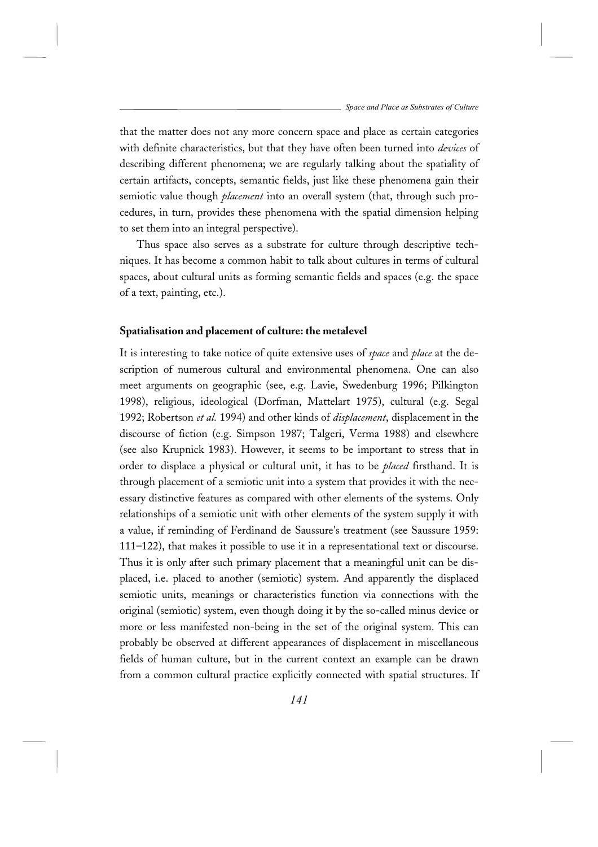that the matter does not any more concern space and place as certain categories with definite characteristics, but that they have often been turned into *devices* of describing different phenomena; we are regularly talking about the spatiality of certain artifacts, concepts, semantic fields, just like these phenomena gain their semiotic value though *placement* into an overall system (that, through such procedures, in turn, provides these phenomena with the spatial dimension helping to set them into an integral perspective).

Thus space also serves as a substrate for culture through descriptive techniques. It has become a common habit to talk about cultures in terms of cultural spaces, about cultural units as forming semantic fields and spaces (e.g. the space of a text, painting, etc.).

#### **Spatialisation and placement of culture: the metalevel**

It is interesting to take notice of quite extensive uses of *space* and *place* at the description of numerous cultural and environmental phenomena. One can also meet arguments on geographic (see, e.g. Lavie, Swedenburg 1996; Pilkington 1998), religious, ideological (Dorfman, Mattelart 1975), cultural (e.g. Segal 1992; Robertson *et al.* 1994) and other kinds of *displacement*, displacement in the discourse of fiction (e.g. Simpson 1987; Talgeri, Verma 1988) and elsewhere (see also Krupnick 1983). However, it seems to be important to stress that in order to displace a physical or cultural unit, it has to be *placed* firsthand. It is through placement of a semiotic unit into a system that provides it with the necessary distinctive features as compared with other elements of the systems. Only relationships of a semiotic unit with other elements of the system supply it with a value, if reminding of Ferdinand de Saussure's treatment (see Saussure 1959: 111–122), that makes it possible to use it in a representational text or discourse. Thus it is only after such primary placement that a meaningful unit can be displaced, i.e. placed to another (semiotic) system. And apparently the displaced semiotic units, meanings or characteristics function via connections with the original (semiotic) system, even though doing it by the so-called minus device or more or less manifested non-being in the set of the original system. This can probably be observed at different appearances of displacement in miscellaneous fields of human culture, but in the current context an example can be drawn from a common cultural practice explicitly connected with spatial structures. If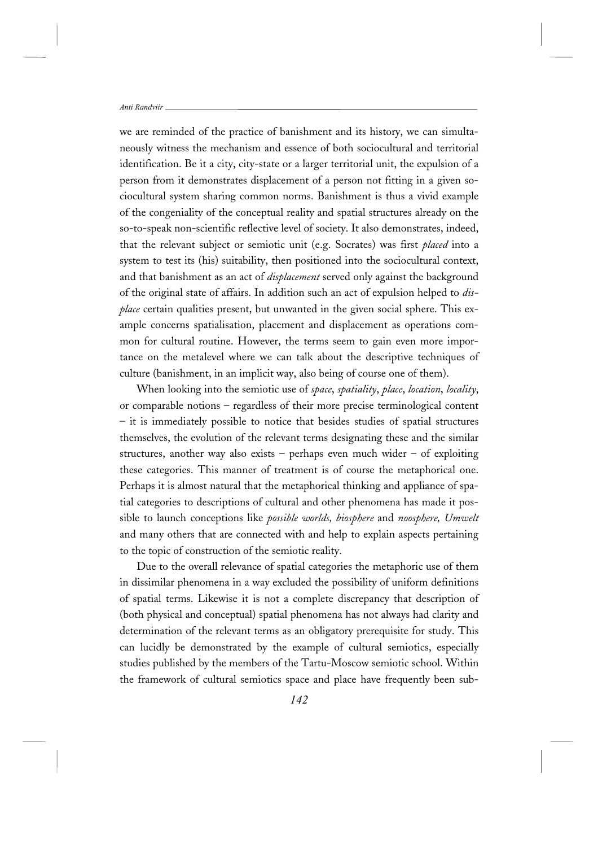we are reminded of the practice of banishment and its history, we can simultaneously witness the mechanism and essence of both sociocultural and territorial identification. Be it a city, city-state or a larger territorial unit, the expulsion of a person from it demonstrates displacement of a person not fitting in a given sociocultural system sharing common norms. Banishment is thus a vivid example of the congeniality of the conceptual reality and spatial structures already on the so-to-speak non-scientific reflective level of society. It also demonstrates, indeed, that the relevant subject or semiotic unit (e.g. Socrates) was first *placed* into a system to test its (his) suitability, then positioned into the sociocultural context, and that banishment as an act of *displacement* served only against the background of the original state of affairs. In addition such an act of expulsion helped to *displace* certain qualities present, but unwanted in the given social sphere. This example concerns spatialisation, placement and displacement as operations common for cultural routine. However, the terms seem to gain even more importance on the metalevel where we can talk about the descriptive techniques of culture (banishment, in an implicit way, also being of course one of them).

When looking into the semiotic use of *space*, *spatiality*, *place*, *location*, *locality*, or comparable notions – regardless of their more precise terminological content – it is immediately possible to notice that besides studies of spatial structures themselves, the evolution of the relevant terms designating these and the similar structures, another way also exists – perhaps even much wider – of exploiting these categories. This manner of treatment is of course the metaphorical one. Perhaps it is almost natural that the metaphorical thinking and appliance of spatial categories to descriptions of cultural and other phenomena has made it possible to launch conceptions like *possible worlds, biosphere* and *noosphere, Umwelt* and many others that are connected with and help to explain aspects pertaining to the topic of construction of the semiotic reality.

Due to the overall relevance of spatial categories the metaphoric use of them in dissimilar phenomena in a way excluded the possibility of uniform definitions of spatial terms. Likewise it is not a complete discrepancy that description of (both physical and conceptual) spatial phenomena has not always had clarity and determination of the relevant terms as an obligatory prerequisite for study. This can lucidly be demonstrated by the example of cultural semiotics, especially studies published by the members of the Tartu-Moscow semiotic school. Within the framework of cultural semiotics space and place have frequently been sub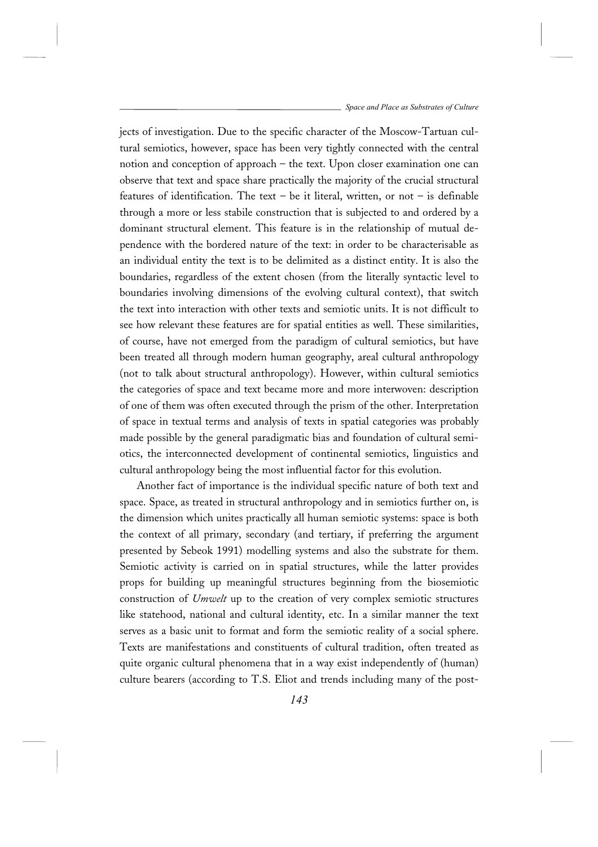jects of investigation. Due to the specific character of the Moscow-Tartuan cultural semiotics, however, space has been very tightly connected with the central notion and conception of approach – the text. Upon closer examination one can observe that text and space share practically the majority of the crucial structural features of identification. The text – be it literal, written, or not – is definable through a more or less stabile construction that is subjected to and ordered by a dominant structural element. This feature is in the relationship of mutual dependence with the bordered nature of the text: in order to be characterisable as an individual entity the text is to be delimited as a distinct entity. It is also the boundaries, regardless of the extent chosen (from the literally syntactic level to boundaries involving dimensions of the evolving cultural context), that switch the text into interaction with other texts and semiotic units. It is not difficult to see how relevant these features are for spatial entities as well. These similarities, of course, have not emerged from the paradigm of cultural semiotics, but have been treated all through modern human geography, areal cultural anthropology (not to talk about structural anthropology). However, within cultural semiotics the categories of space and text became more and more interwoven: description of one of them was often executed through the prism of the other. Interpretation of space in textual terms and analysis of texts in spatial categories was probably made possible by the general paradigmatic bias and foundation of cultural semiotics, the interconnected development of continental semiotics, linguistics and cultural anthropology being the most influential factor for this evolution.

Another fact of importance is the individual specific nature of both text and space. Space, as treated in structural anthropology and in semiotics further on, is the dimension which unites practically all human semiotic systems: space is both the context of all primary, secondary (and tertiary, if preferring the argument presented by Sebeok 1991) modelling systems and also the substrate for them. Semiotic activity is carried on in spatial structures, while the latter provides props for building up meaningful structures beginning from the biosemiotic construction of *Umwelt* up to the creation of very complex semiotic structures like statehood, national and cultural identity, etc. In a similar manner the text serves as a basic unit to format and form the semiotic reality of a social sphere. Texts are manifestations and constituents of cultural tradition, often treated as quite organic cultural phenomena that in a way exist independently of (human) culture bearers (according to T.S. Eliot and trends including many of the post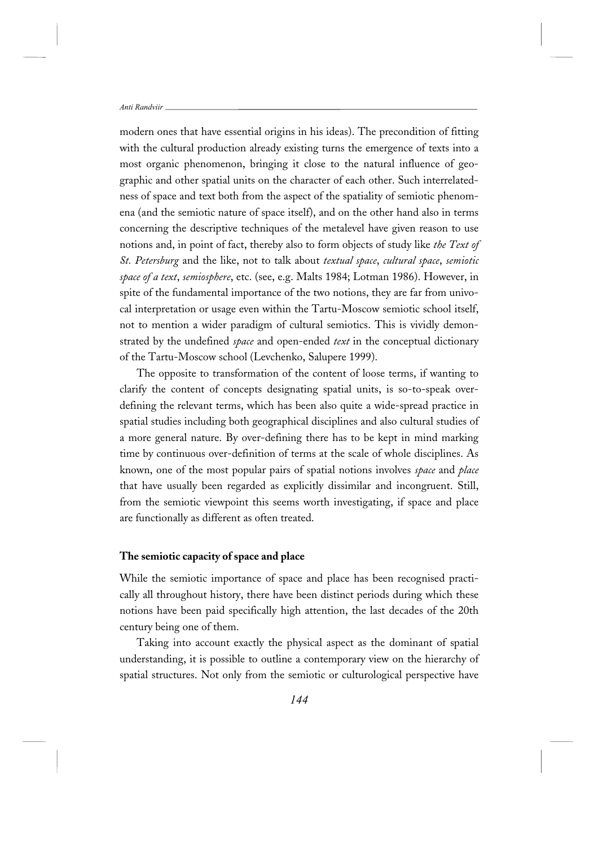modern ones that have essential origins in his ideas). The precondition of fitting with the cultural production already existing turns the emergence of texts into a most organic phenomenon, bringing it close to the natural influence of geographic and other spatial units on the character of each other. Such interrelatedness of space and text both from the aspect of the spatiality of semiotic phenomena (and the semiotic nature of space itself), and on the other hand also in terms concerning the descriptive techniques of the metalevel have given reason to use notions and, in point of fact, thereby also to form objects of study like *the Text of St. Petersburg* and the like, not to talk about *textual space*, *cultural space*, *semiotic space of a text*, *semiosphere*, etc. (see, e.g. Malts 1984; Lotman 1986). However, in spite of the fundamental importance of the two notions, they are far from univocal interpretation or usage even within the Tartu-Moscow semiotic school itself, not to mention a wider paradigm of cultural semiotics. This is vividly demonstrated by the undefined *space* and open-ended *text* in the conceptual dictionary of the Tartu-Moscow school (Levchenko, Salupere 1999).

The opposite to transformation of the content of loose terms, if wanting to clarify the content of concepts designating spatial units, is so-to-speak overdefining the relevant terms, which has been also quite a wide-spread practice in spatial studies including both geographical disciplines and also cultural studies of a more general nature. By over-defining there has to be kept in mind marking time by continuous over-definition of terms at the scale of whole disciplines. As known, one of the most popular pairs of spatial notions involves *space* and *place* that have usually been regarded as explicitly dissimilar and incongruent. Still, from the semiotic viewpoint this seems worth investigating, if space and place are functionally as different as often treated.

### **The semiotic capacity of space and place**

While the semiotic importance of space and place has been recognised practically all throughout history, there have been distinct periods during which these notions have been paid specifically high attention, the last decades of the 20th century being one of them.

Taking into account exactly the physical aspect as the dominant of spatial understanding, it is possible to outline a contemporary view on the hierarchy of spatial structures. Not only from the semiotic or culturological perspective have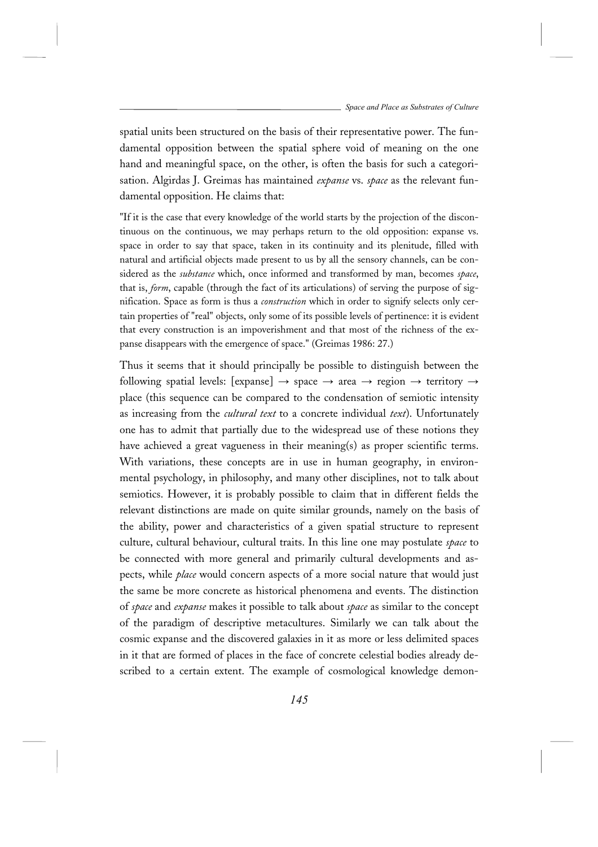spatial units been structured on the basis of their representative power. The fundamental opposition between the spatial sphere void of meaning on the one hand and meaningful space, on the other, is often the basis for such a categorisation. Algirdas J. Greimas has maintained *expanse* vs. *space* as the relevant fundamental opposition. He claims that:

"If it is the case that every knowledge of the world starts by the projection of the discontinuous on the continuous, we may perhaps return to the old opposition: expanse vs. space in order to say that space, taken in its continuity and its plenitude, filled with natural and artificial objects made present to us by all the sensory channels, can be considered as the *substance* which, once informed and transformed by man, becomes *space*, that is, *form*, capable (through the fact of its articulations) of serving the purpose of signification. Space as form is thus a *construction* which in order to signify selects only certain properties of "real" objects, only some of its possible levels of pertinence: it is evident that every construction is an impoverishment and that most of the richness of the expanse disappears with the emergence of space." (Greimas 1986: 27.)

Thus it seems that it should principally be possible to distinguish between the following spatial levels: [expanse]  $\rightarrow$  space  $\rightarrow$  area  $\rightarrow$  region  $\rightarrow$  territory  $\rightarrow$ place (this sequence can be compared to the condensation of semiotic intensity as increasing from the *cultural text* to a concrete individual *text*). Unfortunately one has to admit that partially due to the widespread use of these notions they have achieved a great vagueness in their meaning(s) as proper scientific terms. With variations, these concepts are in use in human geography, in environmental psychology, in philosophy, and many other disciplines, not to talk about semiotics. However, it is probably possible to claim that in different fields the relevant distinctions are made on quite similar grounds, namely on the basis of the ability, power and characteristics of a given spatial structure to represent culture, cultural behaviour, cultural traits. In this line one may postulate *space* to be connected with more general and primarily cultural developments and aspects, while *place* would concern aspects of a more social nature that would just the same be more concrete as historical phenomena and events. The distinction of *space* and *expanse* makes it possible to talk about *space* as similar to the concept of the paradigm of descriptive metacultures. Similarly we can talk about the cosmic expanse and the discovered galaxies in it as more or less delimited spaces in it that are formed of places in the face of concrete celestial bodies already described to a certain extent. The example of cosmological knowledge demon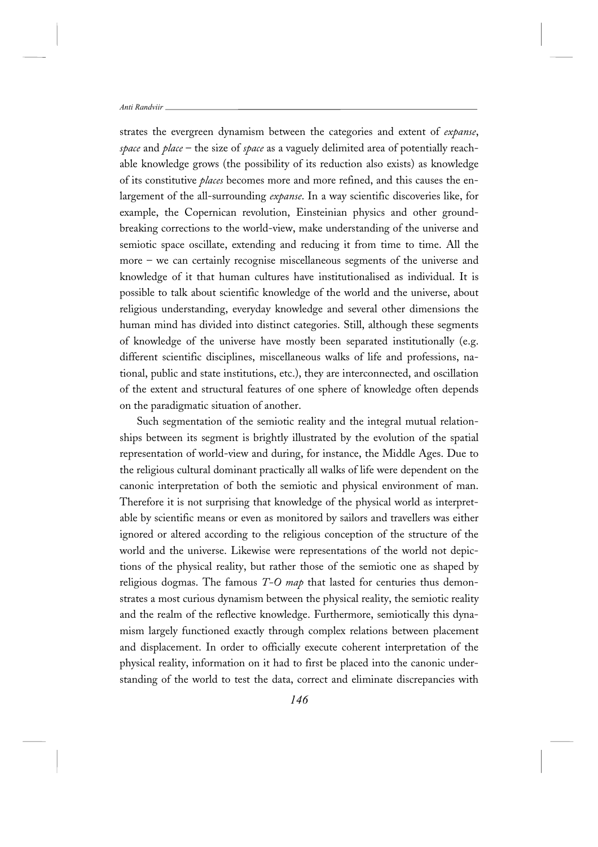strates the evergreen dynamism between the categories and extent of *expanse*, *space* and *place* – the size of *space* as a vaguely delimited area of potentially reachable knowledge grows (the possibility of its reduction also exists) as knowledge of its constitutive *places* becomes more and more refined, and this causes the enlargement of the all-surrounding *expanse*. In a way scientific discoveries like, for example, the Copernican revolution, Einsteinian physics and other groundbreaking corrections to the world-view, make understanding of the universe and semiotic space oscillate, extending and reducing it from time to time. All the more – we can certainly recognise miscellaneous segments of the universe and knowledge of it that human cultures have institutionalised as individual. It is possible to talk about scientific knowledge of the world and the universe, about religious understanding, everyday knowledge and several other dimensions the human mind has divided into distinct categories. Still, although these segments of knowledge of the universe have mostly been separated institutionally (e.g. different scientific disciplines, miscellaneous walks of life and professions, national, public and state institutions, etc.), they are interconnected, and oscillation of the extent and structural features of one sphere of knowledge often depends on the paradigmatic situation of another.

Such segmentation of the semiotic reality and the integral mutual relationships between its segment is brightly illustrated by the evolution of the spatial representation of world-view and during, for instance, the Middle Ages. Due to the religious cultural dominant practically all walks of life were dependent on the canonic interpretation of both the semiotic and physical environment of man. Therefore it is not surprising that knowledge of the physical world as interpretable by scientific means or even as monitored by sailors and travellers was either ignored or altered according to the religious conception of the structure of the world and the universe. Likewise were representations of the world not depictions of the physical reality, but rather those of the semiotic one as shaped by religious dogmas. The famous *T-O map* that lasted for centuries thus demonstrates a most curious dynamism between the physical reality, the semiotic reality and the realm of the reflective knowledge. Furthermore, semiotically this dynamism largely functioned exactly through complex relations between placement and displacement. In order to officially execute coherent interpretation of the physical reality, information on it had to first be placed into the canonic understanding of the world to test the data, correct and eliminate discrepancies with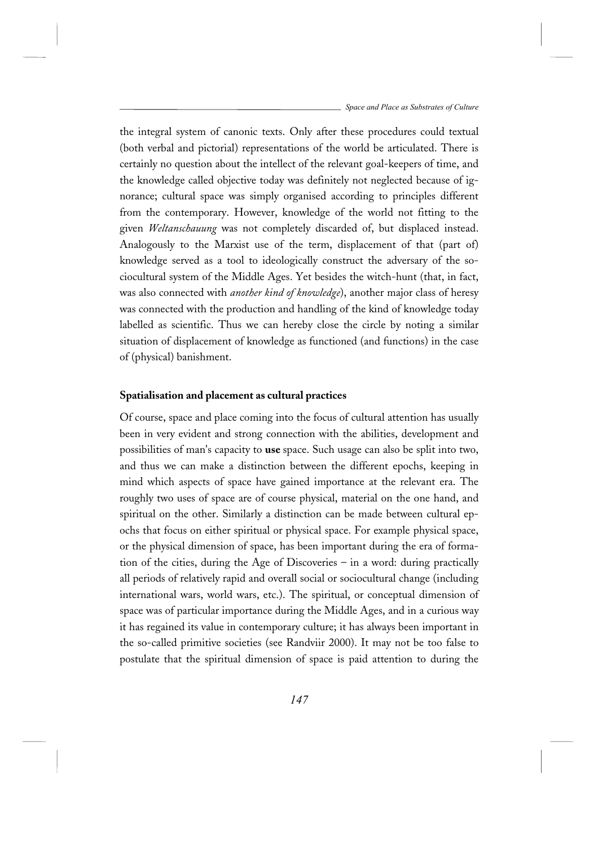the integral system of canonic texts. Only after these procedures could textual (both verbal and pictorial) representations of the world be articulated. There is certainly no question about the intellect of the relevant goal-keepers of time, and the knowledge called objective today was definitely not neglected because of ignorance; cultural space was simply organised according to principles different from the contemporary. However, knowledge of the world not fitting to the given *Weltanschauung* was not completely discarded of, but displaced instead. Analogously to the Marxist use of the term, displacement of that (part of) knowledge served as a tool to ideologically construct the adversary of the sociocultural system of the Middle Ages. Yet besides the witch-hunt (that, in fact, was also connected with *another kind of knowledge*), another major class of heresy was connected with the production and handling of the kind of knowledge today labelled as scientific. Thus we can hereby close the circle by noting a similar situation of displacement of knowledge as functioned (and functions) in the case of (physical) banishment.

### **Spatialisation and placement as cultural practices**

Of course, space and place coming into the focus of cultural attention has usually been in very evident and strong connection with the abilities, development and possibilities of man's capacity to **use** space. Such usage can also be split into two, and thus we can make a distinction between the different epochs, keeping in mind which aspects of space have gained importance at the relevant era. The roughly two uses of space are of course physical, material on the one hand, and spiritual on the other. Similarly a distinction can be made between cultural epochs that focus on either spiritual or physical space. For example physical space, or the physical dimension of space, has been important during the era of formation of the cities, during the Age of Discoveries – in a word: during practically all periods of relatively rapid and overall social or sociocultural change (including international wars, world wars, etc.). The spiritual, or conceptual dimension of space was of particular importance during the Middle Ages, and in a curious way it has regained its value in contemporary culture; it has always been important in the so-called primitive societies (see Randviir 2000). It may not be too false to postulate that the spiritual dimension of space is paid attention to during the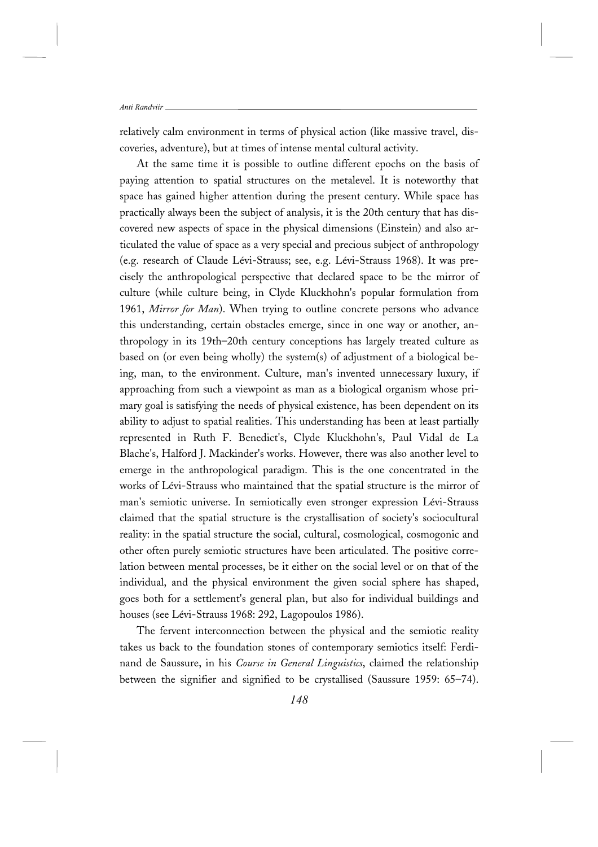relatively calm environment in terms of physical action (like massive travel, discoveries, adventure), but at times of intense mental cultural activity.

At the same time it is possible to outline different epochs on the basis of paying attention to spatial structures on the metalevel. It is noteworthy that space has gained higher attention during the present century. While space has practically always been the subject of analysis, it is the 20th century that has discovered new aspects of space in the physical dimensions (Einstein) and also articulated the value of space as a very special and precious subject of anthropology (e.g. research of Claude Lévi-Strauss; see, e.g. Lévi-Strauss 1968). It was precisely the anthropological perspective that declared space to be the mirror of culture (while culture being, in Clyde Kluckhohn's popular formulation from 1961, *Mirror for Man*). When trying to outline concrete persons who advance this understanding, certain obstacles emerge, since in one way or another, anthropology in its 19th–20th century conceptions has largely treated culture as based on (or even being wholly) the system(s) of adjustment of a biological being, man, to the environment. Culture, man's invented unnecessary luxury, if approaching from such a viewpoint as man as a biological organism whose primary goal is satisfying the needs of physical existence, has been dependent on its ability to adjust to spatial realities. This understanding has been at least partially represented in Ruth F. Benedict's, Clyde Kluckhohn's, Paul Vidal de La Blache's, Halford J. Mackinder's works. However, there was also another level to emerge in the anthropological paradigm. This is the one concentrated in the works of Lévi-Strauss who maintained that the spatial structure is the mirror of man's semiotic universe. In semiotically even stronger expression Lévi-Strauss claimed that the spatial structure is the crystallisation of society's sociocultural reality: in the spatial structure the social, cultural, cosmological, cosmogonic and other often purely semiotic structures have been articulated. The positive correlation between mental processes, be it either on the social level or on that of the individual, and the physical environment the given social sphere has shaped, goes both for a settlement's general plan, but also for individual buildings and houses (see Lévi-Strauss 1968: 292, Lagopoulos 1986).

The fervent interconnection between the physical and the semiotic reality takes us back to the foundation stones of contemporary semiotics itself: Ferdinand de Saussure, in his *Course in General Linguistics*, claimed the relationship between the signifier and signified to be crystallised (Saussure 1959: 65–74).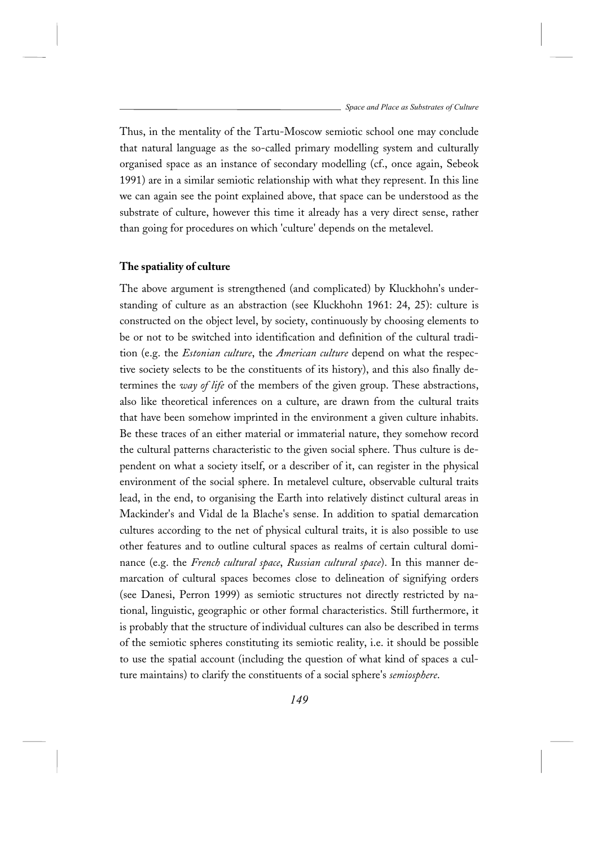Thus, in the mentality of the Tartu-Moscow semiotic school one may conclude that natural language as the so-called primary modelling system and culturally organised space as an instance of secondary modelling (cf., once again, Sebeok 1991) are in a similar semiotic relationship with what they represent. In this line we can again see the point explained above, that space can be understood as the substrate of culture, however this time it already has a very direct sense, rather than going for procedures on which 'culture' depends on the metalevel.

#### **The spatiality of culture**

The above argument is strengthened (and complicated) by Kluckhohn's understanding of culture as an abstraction (see Kluckhohn 1961: 24, 25): culture is constructed on the object level, by society, continuously by choosing elements to be or not to be switched into identification and definition of the cultural tradition (e.g. the *Estonian culture*, the *American culture* depend on what the respective society selects to be the constituents of its history), and this also finally determines the *way of life* of the members of the given group. These abstractions, also like theoretical inferences on a culture, are drawn from the cultural traits that have been somehow imprinted in the environment a given culture inhabits. Be these traces of an either material or immaterial nature, they somehow record the cultural patterns characteristic to the given social sphere. Thus culture is dependent on what a society itself, or a describer of it, can register in the physical environment of the social sphere. In metalevel culture, observable cultural traits lead, in the end, to organising the Earth into relatively distinct cultural areas in Mackinder's and Vidal de la Blache's sense. In addition to spatial demarcation cultures according to the net of physical cultural traits, it is also possible to use other features and to outline cultural spaces as realms of certain cultural dominance (e.g. the *French cultural space*, *Russian cultural space*). In this manner demarcation of cultural spaces becomes close to delineation of signifying orders (see Danesi, Perron 1999) as semiotic structures not directly restricted by national, linguistic, geographic or other formal characteristics. Still furthermore, it is probably that the structure of individual cultures can also be described in terms of the semiotic spheres constituting its semiotic reality, i.e. it should be possible to use the spatial account (including the question of what kind of spaces a culture maintains) to clarify the constituents of a social sphere's *semiosphere*.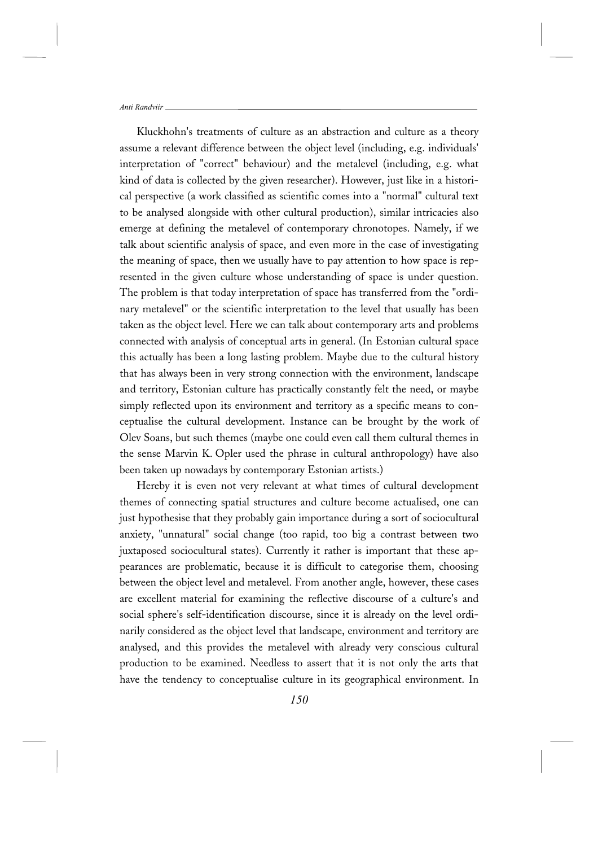Kluckhohn's treatments of culture as an abstraction and culture as a theory assume a relevant difference between the object level (including, e.g. individuals' interpretation of "correct" behaviour) and the metalevel (including, e.g. what kind of data is collected by the given researcher). However, just like in a historical perspective (a work classified as scientific comes into a "normal" cultural text to be analysed alongside with other cultural production), similar intricacies also emerge at defining the metalevel of contemporary chronotopes. Namely, if we talk about scientific analysis of space, and even more in the case of investigating the meaning of space, then we usually have to pay attention to how space is represented in the given culture whose understanding of space is under question. The problem is that today interpretation of space has transferred from the "ordinary metalevel" or the scientific interpretation to the level that usually has been taken as the object level. Here we can talk about contemporary arts and problems connected with analysis of conceptual arts in general. (In Estonian cultural space this actually has been a long lasting problem. Maybe due to the cultural history that has always been in very strong connection with the environment, landscape and territory, Estonian culture has practically constantly felt the need, or maybe simply reflected upon its environment and territory as a specific means to conceptualise the cultural development. Instance can be brought by the work of Olev Soans, but such themes (maybe one could even call them cultural themes in the sense Marvin K. Opler used the phrase in cultural anthropology) have also been taken up nowadays by contemporary Estonian artists.)

Hereby it is even not very relevant at what times of cultural development themes of connecting spatial structures and culture become actualised, one can just hypothesise that they probably gain importance during a sort of sociocultural anxiety, "unnatural" social change (too rapid, too big a contrast between two juxtaposed sociocultural states). Currently it rather is important that these appearances are problematic, because it is difficult to categorise them, choosing between the object level and metalevel. From another angle, however, these cases are excellent material for examining the reflective discourse of a culture's and social sphere's self-identification discourse, since it is already on the level ordinarily considered as the object level that landscape, environment and territory are analysed, and this provides the metalevel with already very conscious cultural production to be examined. Needless to assert that it is not only the arts that have the tendency to conceptualise culture in its geographical environment. In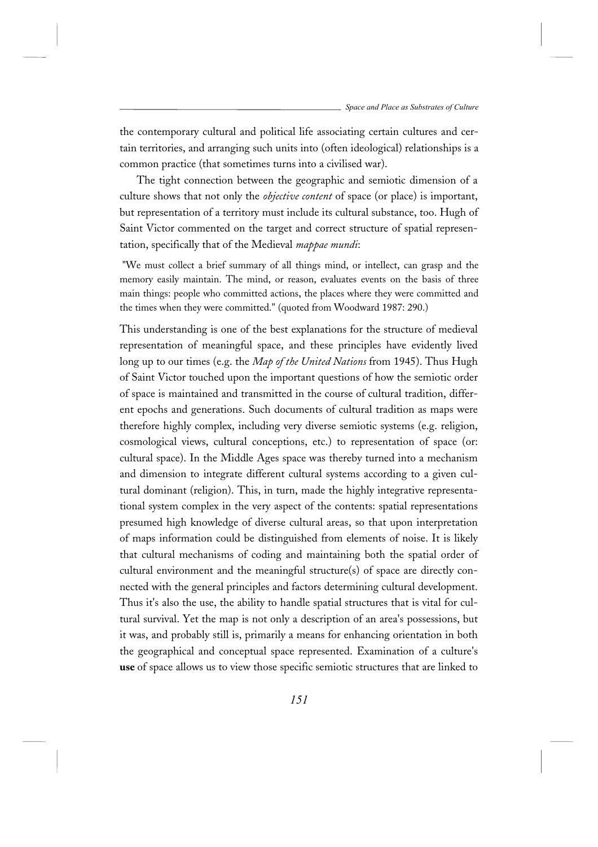the contemporary cultural and political life associating certain cultures and certain territories, and arranging such units into (often ideological) relationships is a common practice (that sometimes turns into a civilised war).

The tight connection between the geographic and semiotic dimension of a culture shows that not only the *objective content* of space (or place) is important, but representation of a territory must include its cultural substance, too. Hugh of Saint Victor commented on the target and correct structure of spatial representation, specifically that of the Medieval *mappae mundi*:

 "We must collect a brief summary of all things mind, or intellect, can grasp and the memory easily maintain. The mind, or reason, evaluates events on the basis of three main things: people who committed actions, the places where they were committed and the times when they were committed." (quoted from Woodward 1987: 290.)

This understanding is one of the best explanations for the structure of medieval representation of meaningful space, and these principles have evidently lived long up to our times (e.g. the *Map of the United Nations* from 1945). Thus Hugh of Saint Victor touched upon the important questions of how the semiotic order of space is maintained and transmitted in the course of cultural tradition, different epochs and generations. Such documents of cultural tradition as maps were therefore highly complex, including very diverse semiotic systems (e.g. religion, cosmological views, cultural conceptions, etc.) to representation of space (or: cultural space). In the Middle Ages space was thereby turned into a mechanism and dimension to integrate different cultural systems according to a given cultural dominant (religion). This, in turn, made the highly integrative representational system complex in the very aspect of the contents: spatial representations presumed high knowledge of diverse cultural areas, so that upon interpretation of maps information could be distinguished from elements of noise. It is likely that cultural mechanisms of coding and maintaining both the spatial order of cultural environment and the meaningful structure(s) of space are directly connected with the general principles and factors determining cultural development. Thus it's also the use, the ability to handle spatial structures that is vital for cultural survival. Yet the map is not only a description of an area's possessions, but it was, and probably still is, primarily a means for enhancing orientation in both the geographical and conceptual space represented. Examination of a culture's **use** of space allows us to view those specific semiotic structures that are linked to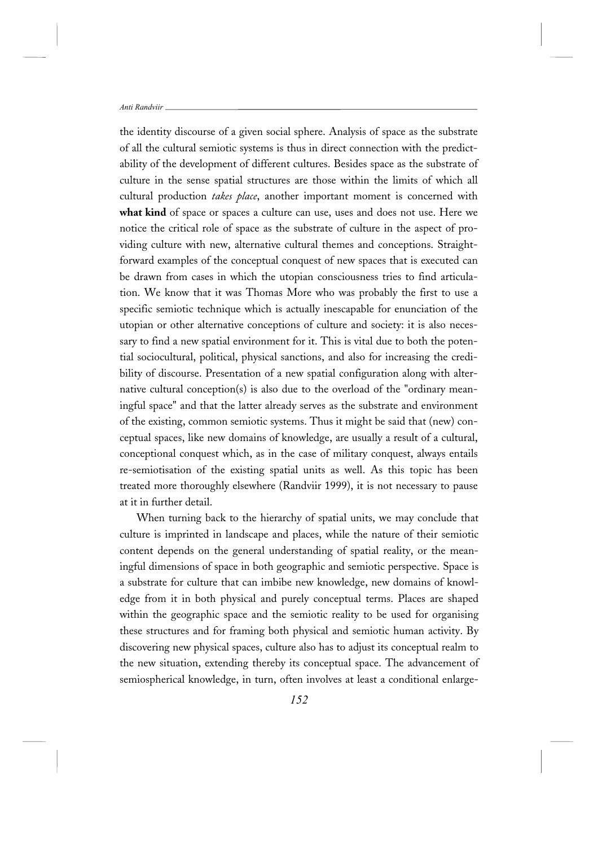the identity discourse of a given social sphere. Analysis of space as the substrate of all the cultural semiotic systems is thus in direct connection with the predictability of the development of different cultures. Besides space as the substrate of culture in the sense spatial structures are those within the limits of which all cultural production *takes place*, another important moment is concerned with **what kind** of space or spaces a culture can use, uses and does not use. Here we notice the critical role of space as the substrate of culture in the aspect of providing culture with new, alternative cultural themes and conceptions. Straightforward examples of the conceptual conquest of new spaces that is executed can be drawn from cases in which the utopian consciousness tries to find articulation. We know that it was Thomas More who was probably the first to use a specific semiotic technique which is actually inescapable for enunciation of the utopian or other alternative conceptions of culture and society: it is also necessary to find a new spatial environment for it. This is vital due to both the potential sociocultural, political, physical sanctions, and also for increasing the credibility of discourse. Presentation of a new spatial configuration along with alternative cultural conception(s) is also due to the overload of the "ordinary meaningful space" and that the latter already serves as the substrate and environment of the existing, common semiotic systems. Thus it might be said that (new) conceptual spaces, like new domains of knowledge, are usually a result of a cultural, conceptional conquest which, as in the case of military conquest, always entails re-semiotisation of the existing spatial units as well. As this topic has been treated more thoroughly elsewhere (Randviir 1999), it is not necessary to pause at it in further detail.

When turning back to the hierarchy of spatial units, we may conclude that culture is imprinted in landscape and places, while the nature of their semiotic content depends on the general understanding of spatial reality, or the meaningful dimensions of space in both geographic and semiotic perspective. Space is a substrate for culture that can imbibe new knowledge, new domains of knowledge from it in both physical and purely conceptual terms. Places are shaped within the geographic space and the semiotic reality to be used for organising these structures and for framing both physical and semiotic human activity. By discovering new physical spaces, culture also has to adjust its conceptual realm to the new situation, extending thereby its conceptual space. The advancement of semiospherical knowledge, in turn, often involves at least a conditional enlarge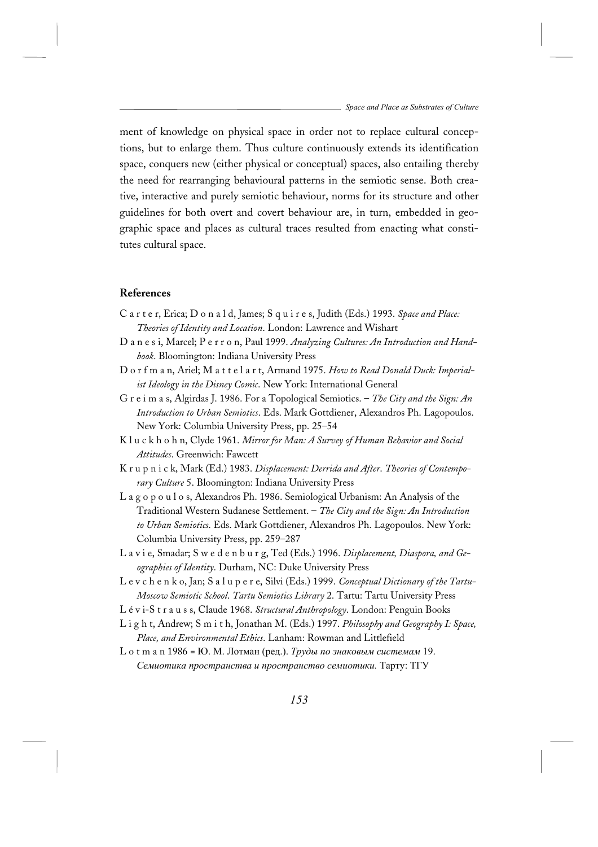ment of knowledge on physical space in order not to replace cultural conceptions, but to enlarge them. Thus culture continuously extends its identification space, conquers new (either physical or conceptual) spaces, also entailing thereby the need for rearranging behavioural patterns in the semiotic sense. Both creative, interactive and purely semiotic behaviour, norms for its structure and other guidelines for both overt and covert behaviour are, in turn, embedded in geographic space and places as cultural traces resulted from enacting what constitutes cultural space.

## **References**

- C a r t e r, Erica; D o n a l d, James; S q u i r e s, Judith (Eds.) 1993. *Space and Place: Theories of Identity and Location*. London: Lawrence and Wishart
- D a n e s i, Marcel; P e r r o n, Paul 1999. *Analyzing Cultures: An Introduction and Handbook*. Bloomington: Indiana University Press
- D o r f m a n, Ariel; M a t t e l a r t, Armand 1975. *How to Read Donald Duck: Imperialist Ideology in the Disney Comic*. New York: International General
- G r e i m a s, Algirdas J. 1986. For a Topological Semiotics. *The City and the Sign: An Introduction to Urban Semiotics*. Eds. Mark Gottdiener, Alexandros Ph. Lagopoulos. New York: Columbia University Press, pp. 25–54
- K l u c k h o h n, Clyde 1961. *Mirror for Man: A Survey of Human Behavior and Social Attitudes*. Greenwich: Fawcett
- K r u p n i c k, Mark (Ed.) 1983. *Displacement: Derrida and After*. *Theories of Contemporary Culture* 5. Bloomington: Indiana University Press
- L a g o p o u l o s, Alexandros Ph. 1986. Semiological Urbanism: An Analysis of the Traditional Western Sudanese Settlement. – *The City and the Sign: An Introduction to Urban Semiotics*. Eds. Mark Gottdiener, Alexandros Ph. Lagopoulos. New York: Columbia University Press, pp. 259–287
- L a v i e, Smadar; S w e d e n b u r g, Ted (Eds.) 1996. *Displacement, Diaspora, and Geographies of Identity*. Durham, NC: Duke University Press
- L e v c h e n k o, Jan; S a l u p e r e, Silvi (Eds.) 1999. *Conceptual Dictionary of the Tartu-Moscow Semiotic School*. *Tartu Semiotics Library* 2. Tartu: Tartu University Press
- L é v i-S t r a u s s, Claude 1968. *Structural Anthropology*. London: Penguin Books
- L i g h t, Andrew; S m i t h, Jonathan M. (Eds.) 1997. *Philosophy and Geography I: Space, Place, and Environmental Ethics*. Lanham: Rowman and Littlefield
- L o t m a n 1986 = Ю. М. Лотман (ред.). *Труды по знаковым системам* 19. *Семиотика пространства и пространство семиотики.* Тарту: ТГУ